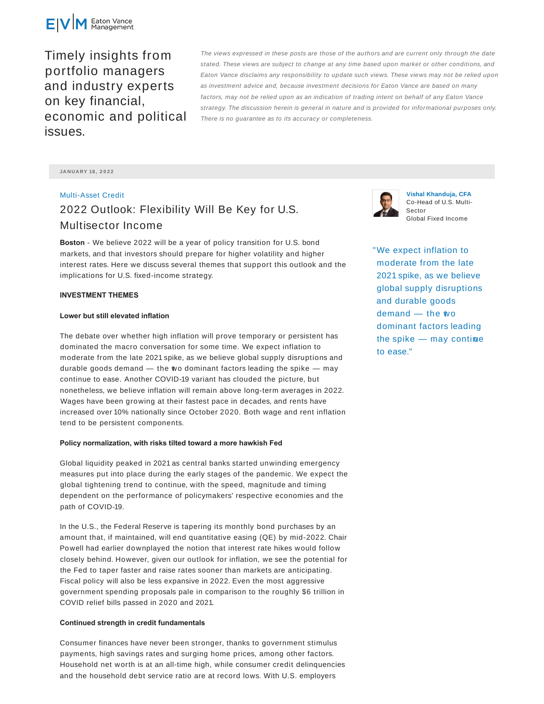

Timely insights from portfolio managers and industry experts on key financial, economic and political issues.

The views expressed in these posts are those of the authors and are current only through the date stated. These views are subject to change at any time based upon market or other conditions, and Eaton Vance disclaims any responsibility to update such views. These views may not be relied upon as investment advice and, because investment decisions for Eaton Vance are based on many factors, may not be relied upon as an indication of trading intent on behalf of any Eaton Vance strategy. The discussion herein is general in nature and is provided for informational purposes only. There is no guarantee as to its accuracy or completeness.

**JA N UA RY 18 , 2 0 2 2**

# Multi-Asset Credit 2022 Outlook: Flexibility Will Be Key for U.S. Multisector Income

**Boston** - We believe 2022 will be a year of policy transition for U.S. bond markets, and that investors should prepare for higher volatility and higher interest rates. Here we discuss several themes that support this outlook and the implications for U.S. fixed-income strategy.

#### **INVESTMENT THEMES**

#### **Lower but still elevated inflation**

The debate over whether high inflation will prove temporary or persistent has dominated the macro conversation for some time. We expect inflation to moderate from the late 2021 spike, as we believe global supply disruptions and durable goods demand  $-$  the wo dominant factors leading the spike  $-$  may continue to ease. Another COVID-19 variant has clouded the picture, but nonetheless, we believe inflation will remain above long-term averages in 2022. Wages have been growing at their fastest pace in decades, and rents have increased over 10% nationally since October 2020. Both wage and rent inflation tend to be persistent components.

#### **Policy normalization, with risks tilted toward a more hawkish Fed**

Global liquidity peaked in 2021 as central banks started unwinding emergency measures put into place during the early stages of the pandemic. We expect the global tightening trend to continue, with the speed, magnitude and timing dependent on the performance of policymakers' respective economies and the path of COVID-19.

In the U.S., the Federal Reserve is tapering its monthly bond purchases by an amount that, if maintained, will end quantitative easing (QE) by mid-2022. Chair Powell had earlier downplayed the notion that interest rate hikes would follow closely behind. However, given our outlook for inflation, we see the potential for the Fed to taper faster and raise rates sooner than markets are anticipating. Fiscal policy will also be less expansive in 2022. Even the most aggressive government spending proposals pale in comparison to the roughly \$6 trillion in COVID relief bills passed in 2020 and 2021.

## **Continued strength in credit fundamentals**

Consumer finances have never been stronger, thanks to government stimulus payments, high savings rates and surging home prices, among other factors. Household net worth is at an all-time high, while consumer credit delinquencies and the household debt service ratio are at record lows. With U.S. employers



**Vishal Khanduja, CFA** Co-Head of U.S. Multi-Sector Global Fixed Income

"We expect inflation to moderate from the late 2021 spike, as we believe global supply disruptions and durable goods demand - the wo dominant factors leading the spike  $-$  may contime to ease."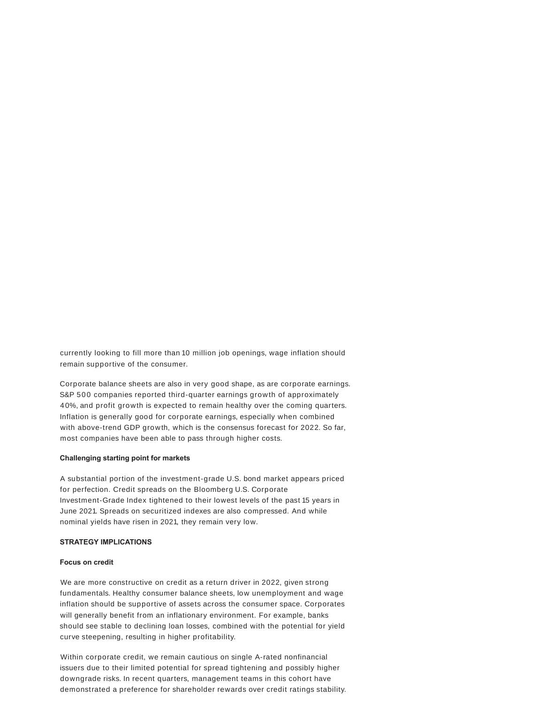currently looking to fill more than 10 million job openings, wage inflation should remain supportive of the consumer.

Corporate balance sheets are also in very good shape, as are corporate earnings. S&P 500 companies reported third-quarter earnings growth of approximately 40%, and profit growth is expected to remain healthy over the coming quarters. Inflation is generally good for corporate earnings, especially when combined with above-trend GDP growth, which is the consensus forecast for 2022. So far, most companies have been able to pass through higher costs.

## **Challenging starting point for markets**

A substantial portion of the investment-grade U.S. bond market appears priced for perfection. Credit spreads on the Bloomberg U.S. Corporate Investment-Grade Index tightened to their lowest levels of the past 15 years in June 2021. Spreads on securitized indexes are also compressed. And while nominal yields have risen in 2021, they remain very low.

### **STRATEGY IMPLICATIONS**

# **Focus on credit**

We are more constructive on credit as a return driver in 2022, given strong fundamentals. Healthy consumer balance sheets, low unemployment and wage inflation should be supportive of assets across the consumer space. Corporates will generally benefit from an inflationary environment. For example, banks should see stable to declining loan losses, combined with the potential for yield curve steepening, resulting in higher profitability.

Within corporate credit, we remain cautious on single A-rated nonfinancial issuers due to their limited potential for spread tightening and possibly higher downgrade risks. In recent quarters, management teams in this cohort have demonstrated a preference for shareholder rewards over credit ratings stability.